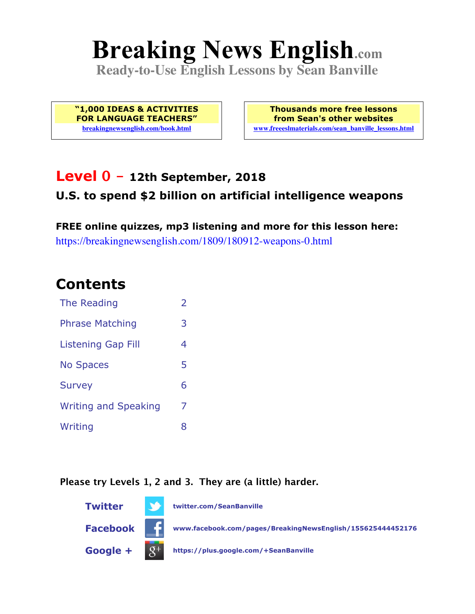# **Breaking News English.com**

**Ready-to-Use English Lessons by Sean Banville**

**"1,000 IDEAS & ACTIVITIES FOR LANGUAGE TEACHERS" breakingnewsenglish.com/book.html**

**Thousands more free lessons from Sean's other websites www.freeeslmaterials.com/sean\_banville\_lessons.html**

#### **Level 0 - 12th September, 2018 U.S. to spend \$2 billion on artificial intelligence weapons**

**FREE online quizzes, mp3 listening and more for this lesson here:** https://breakingnewsenglish.com/1809/180912-weapons-0.html

#### **Contents**

| The Reading                 | $\overline{2}$ |
|-----------------------------|----------------|
| <b>Phrase Matching</b>      | 3              |
| <b>Listening Gap Fill</b>   | 4              |
| <b>No Spaces</b>            | 5              |
| <b>Survey</b>               | 6              |
| <b>Writing and Speaking</b> | 7              |
| Writing                     | R              |

**Please try Levels 1, 2 and 3. They are (a little) harder.**

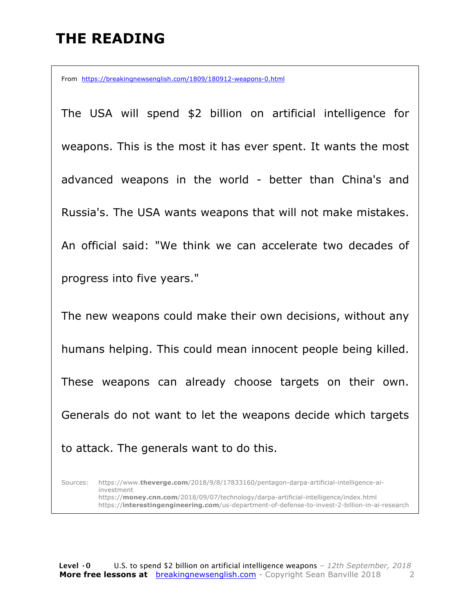## **THE READING**

From https://breakingnewsenglish.com/1809/180912-weapons-0.html

The USA will spend \$2 billion on artificial intelligence for weapons. This is the most it has ever spent. It wants the most advanced weapons in the world - better than China's and Russia's. The USA wants weapons that will not make mistakes. An official said: "We think we can accelerate two decades of progress into five years."

The new weapons could make their own decisions, without any humans helping. This could mean innocent people being killed. These weapons can already choose targets on their own. Generals do not want to let the weapons decide which targets to attack. The generals want to do this.

Sources: https://www.**theverge.com**/2018/9/8/17833160/pentagon-darpa-artificial-intelligence-aiinvestment https://**money.cnn.com**/2018/09/07/technology/darpa-artificial-intelligence/index.html https://**interestingengineering.com**/us-department-of-defense-to-invest-2-billion-in-ai-research

**Level ·0** U.S. to spend \$2 billion on artificial intelligence weapons *– 12th September, 2018* **More free lessons at** breakingnewsenglish.com - Copyright Sean Banville 2018 2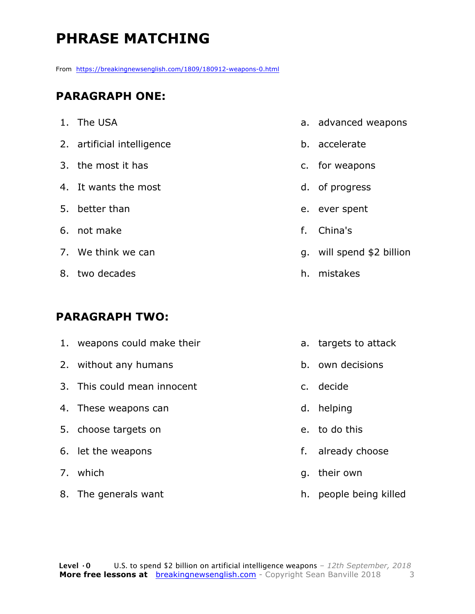## **PHRASE MATCHING**

From https://breakingnewsenglish.com/1809/180912-weapons-0.html

#### **PARAGRAPH ONE:**

| 1. The USA                 |    | a. advanced weapons       |
|----------------------------|----|---------------------------|
| 2. artificial intelligence |    | b. accelerate             |
| 3. the most it has         |    | c. for weapons            |
| 4. It wants the most       |    | d. of progress            |
| 5. better than             |    | e. ever spent             |
| 6. not make                | f. | China's                   |
| 7. We think we can         |    | g. will spend \$2 billion |
| 8. two decades             |    | h. mistakes               |
|                            |    |                           |

#### **PARAGRAPH TWO:**

| 1. weapons could make their |    | a. targets to attack |
|-----------------------------|----|----------------------|
| 2. without any humans       |    | b. own decisions     |
| 3. This could mean innocent |    | c. decide            |
| 4. These weapons can        |    | d. helping           |
| 5. choose targets on        |    | e. to do this        |
| 6. let the weapons          | f. | already choose       |
| 7. which                    | q. | their own            |
| 8. The generals want        | h. | people being killed  |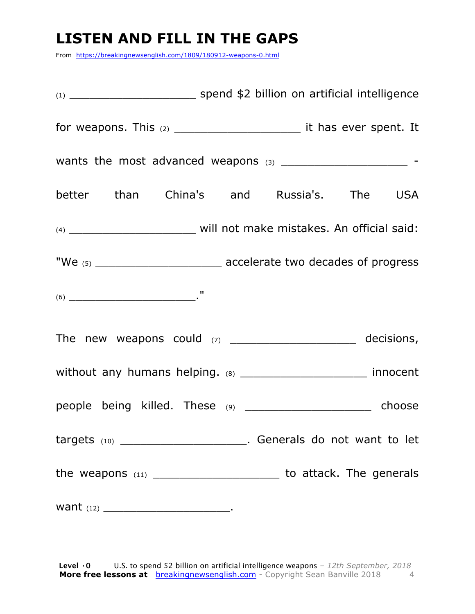#### **LISTEN AND FILL IN THE GAPS**

From https://breakingnewsenglish.com/1809/180912-weapons-0.html

| better than China's and Russia's. The USA                                                                                                                                                                                                                                                                                                                                                                  |  |  |
|------------------------------------------------------------------------------------------------------------------------------------------------------------------------------------------------------------------------------------------------------------------------------------------------------------------------------------------------------------------------------------------------------------|--|--|
|                                                                                                                                                                                                                                                                                                                                                                                                            |  |  |
|                                                                                                                                                                                                                                                                                                                                                                                                            |  |  |
| $(6) \begin{tabular}{l} \hline \rule[1em]{1em}{1em} \rule[1em]{1em}{1em} \rule[1em]{1em}{1em} \rule[1em]{1em}{1em} \rule[1em]{1em}{1em} \rule[1em]{1em}{1em} \rule[1em]{1em}{1em} \rule[1em]{1em}{1em} \rule[1em]{1em}{1em} \rule[1em]{1em}{1em} \rule[1em]{1em}{1em} \rule[1em]{1em}{1em} \rule[1em]{1em}{1em} \rule[1em]{1em}{1em} \rule[1em]{1em}{1em} \rule[1em]{1em}{1em} \rule[1em]{1em}{1em} \rule$ |  |  |
| The new weapons could $(7)$ __________________________ decisions,                                                                                                                                                                                                                                                                                                                                          |  |  |
| without any humans helping. (8) ________________________ innocent                                                                                                                                                                                                                                                                                                                                          |  |  |
| people being killed. These (9) ______________________ choose                                                                                                                                                                                                                                                                                                                                               |  |  |
| targets (10) __________________________. Generals do not want to let                                                                                                                                                                                                                                                                                                                                       |  |  |
| the weapons $(11)$ ___________________________ to attack. The generals                                                                                                                                                                                                                                                                                                                                     |  |  |
|                                                                                                                                                                                                                                                                                                                                                                                                            |  |  |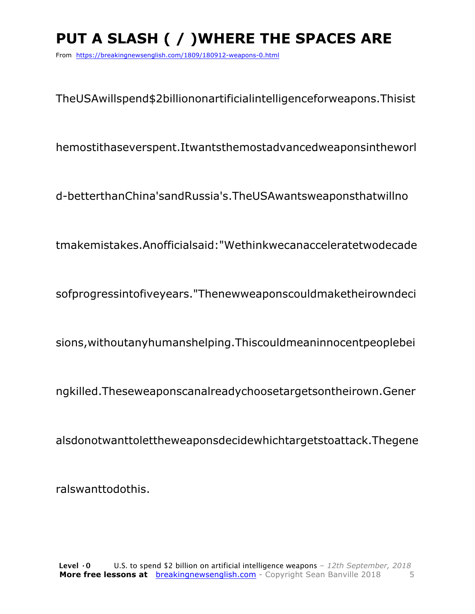# **PUT A SLASH ( / )WHERE THE SPACES ARE**

From https://breakingnewsenglish.com/1809/180912-weapons-0.html

TheUSAwillspend\$2billiononartificialintelligenceforweapons.Thisist

hemostithaseverspent.Itwantsthemostadvancedweaponsintheworl

d-betterthanChina'sandRussia's.TheUSAwantsweaponsthatwillno

tmakemistakes.Anofficialsaid:"Wethinkwecanacceleratetwodecade

sofprogressintofiveyears."Thenewweaponscouldmaketheirowndeci

sions,withoutanyhumanshelping.Thiscouldmeaninnocentpeoplebei

ngkilled.Theseweaponscanalreadychoosetargetsontheirown.Gener

alsdonotwanttolettheweaponsdecidewhichtargetstoattack.Thegene

ralswanttodothis.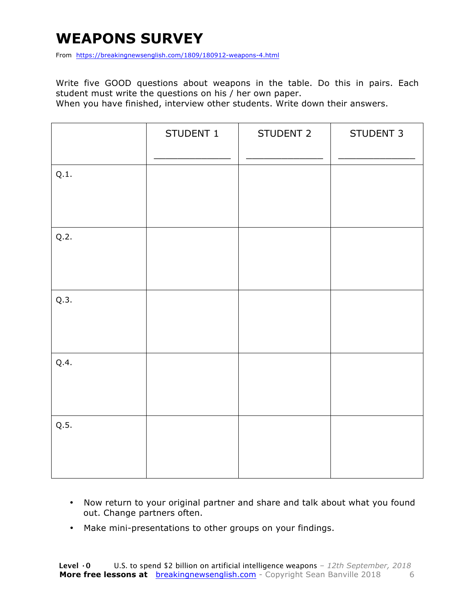#### **WEAPONS SURVEY**

From https://breakingnewsenglish.com/1809/180912-weapons-4.html

Write five GOOD questions about weapons in the table. Do this in pairs. Each student must write the questions on his / her own paper.

When you have finished, interview other students. Write down their answers.

|      | STUDENT 1 | STUDENT 2 | STUDENT 3 |
|------|-----------|-----------|-----------|
| Q.1. |           |           |           |
| Q.2. |           |           |           |
| Q.3. |           |           |           |
| Q.4. |           |           |           |
| Q.5. |           |           |           |

- Now return to your original partner and share and talk about what you found out. Change partners often.
- Make mini-presentations to other groups on your findings.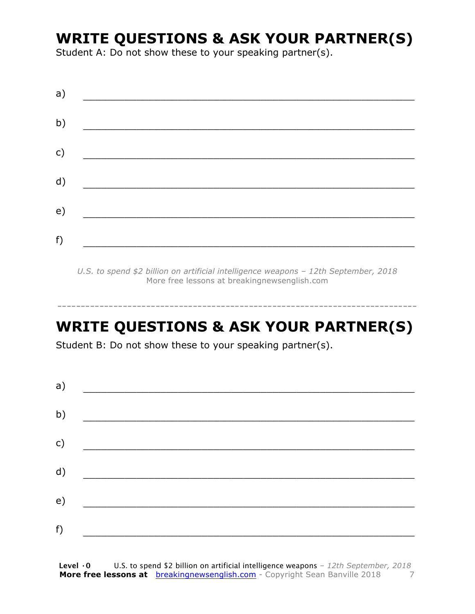#### **WRITE QUESTIONS & ASK YOUR PARTNER(S)**

Student A: Do not show these to your speaking partner(s).

*U.S. to spend \$2 billion on artificial intelligence weapons – 12th September, 2018* More free lessons at breakingnewsenglish.com

-----------------------------------------------------------------------------

## **WRITE QUESTIONS & ASK YOUR PARTNER(S)**

Student B: Do not show these to your speaking partner(s).

| a) |  |  |
|----|--|--|
| b) |  |  |
| c) |  |  |
| d) |  |  |
| e) |  |  |
|    |  |  |
| f) |  |  |

**Level ·0** U.S. to spend \$2 billion on artificial intelligence weapons *– 12th September, 2018* **More free lessons at** breakingnewsenglish.com - Copyright Sean Banville 2018 7